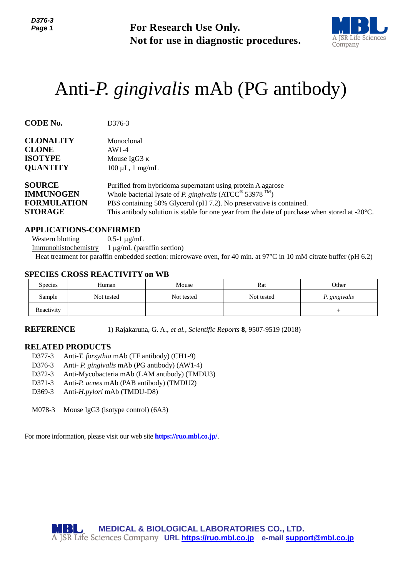*D376-3 Page 1*



# Anti-*P. gingivalis* mAb (PG antibody)

| Page 1                                                                              |                                                                                                                                                                                                                                                                                                                                                  | <b>For Research Use Only.</b><br>Not for use in diagnostic procedures.                                                                                 |                                                                                                                                                                                | A JSR Life Scier<br>Company |  |  |  |
|-------------------------------------------------------------------------------------|--------------------------------------------------------------------------------------------------------------------------------------------------------------------------------------------------------------------------------------------------------------------------------------------------------------------------------------------------|--------------------------------------------------------------------------------------------------------------------------------------------------------|--------------------------------------------------------------------------------------------------------------------------------------------------------------------------------|-----------------------------|--|--|--|
|                                                                                     | Anti-P. gingivalis mAb (PG antibody)                                                                                                                                                                                                                                                                                                             |                                                                                                                                                        |                                                                                                                                                                                |                             |  |  |  |
| <b>CODE No.</b>                                                                     | D376-3                                                                                                                                                                                                                                                                                                                                           |                                                                                                                                                        |                                                                                                                                                                                |                             |  |  |  |
| <b>CLONALITY</b><br><b>CLONE</b><br><b>ISOTYPE</b><br><b>QUANTITY</b>               | Monoclonal<br>$AW1-4$                                                                                                                                                                                                                                                                                                                            | Mouse IgG3 $\kappa$<br>$100 \mu L$ , 1 mg/mL                                                                                                           |                                                                                                                                                                                |                             |  |  |  |
| <b>SOURCE</b><br><b>IMMUNOGEN</b><br><b>FORMULATION</b><br><b>STORAGE</b>           |                                                                                                                                                                                                                                                                                                                                                  | Purified from hybridoma supernatant using protein A agarose<br>Whole bacterial lysate of <i>P. gingivalis</i> (ATCC <sup>®</sup> 53978 <sup>TM</sup> ) | PBS containing 50% Glycerol (pH 7.2). No preservative is contained.<br>This antibody solution is stable for one year from the date of purchase when stored at $-20^{\circ}$ C. |                             |  |  |  |
| <b>Western blotting</b><br>Immunohistochemistry                                     | <b>APPLICATIONS-CONFIRMED</b><br>$0.5-1 \mu g/mL$<br>$1 \mu g/mL$ (paraffin section)<br>Heat treatment for paraffin embedded section: microwave oven, for 40 min. at 97°C in 10 mM citrate buffer (pH 6.2)                                                                                                                                       |                                                                                                                                                        |                                                                                                                                                                                |                             |  |  |  |
| Species                                                                             | <b>SPECIES CROSS REACTIVITY on WB</b><br>Human                                                                                                                                                                                                                                                                                                   | Mouse                                                                                                                                                  | Rat                                                                                                                                                                            | Other                       |  |  |  |
| Sample                                                                              | Not tested                                                                                                                                                                                                                                                                                                                                       | Not tested                                                                                                                                             | Not tested                                                                                                                                                                     | P. gingivalis               |  |  |  |
| Reactivity                                                                          |                                                                                                                                                                                                                                                                                                                                                  |                                                                                                                                                        |                                                                                                                                                                                | $^{+}$                      |  |  |  |
| <b>REFERENCE</b>                                                                    |                                                                                                                                                                                                                                                                                                                                                  |                                                                                                                                                        | 1) Rajakaruna, G. A., et al., Scientific Reports 8, 9507-9519 (2018)                                                                                                           |                             |  |  |  |
| <b>RELATED PRODUCTS</b><br>D377-3<br>D376-3<br>D372-3<br>D371-3<br>D369-3<br>M078-3 | Anti-T. forsythia mAb (TF antibody) (CH1-9)<br>Anti- P. gingivalis mAb (PG antibody) (AW1-4)<br>Anti-Mycobacteria mAb (LAM antibody) (TMDU3)<br>Anti-P. acnes mAb (PAB antibody) (TMDU2)<br>Anti-H.pylori mAb (TMDU-D8)<br>Mouse IgG3 (isotype control) (6A3)<br>For more information, please visit our web site <b>https://ruo.mbl.co.jp/</b> . |                                                                                                                                                        |                                                                                                                                                                                |                             |  |  |  |
| M 13                                                                                | A JSR Life Sciences Company URL https://ruo.mbl.co.jp e-mail support@mbl.co.jp                                                                                                                                                                                                                                                                   |                                                                                                                                                        | <b>MEDICAL &amp; BIOLOGICAL LABORATORIES CO., LTD.</b>                                                                                                                         |                             |  |  |  |

### **APPLICATIONS-CONFIRMED**

#### **SPECIES CROSS REACTIVITY on WB**

| <b>Species</b> | Human      | Mouse      | Rat        | Other         |
|----------------|------------|------------|------------|---------------|
| Sample         | Not tested | Not tested | Not tested | P. gingivalis |
| Reactivity     |            |            |            |               |

#### **RELATED PRODUCTS**

- D377-3 Anti-*T. forsythia* mAb (TF antibody) (CH1-9)
- D376-3 Anti- *P. gingivalis* mAb (PG antibody) (AW1-4)
- D372-3 Anti-Mycobacteria mAb (LAM antibody) (TMDU3)
- D371-3 Anti-*P. acnes* mAb (PAB antibody) (TMDU2)
- D369-3 Anti-*H.pylori* mAb (TMDU-D8)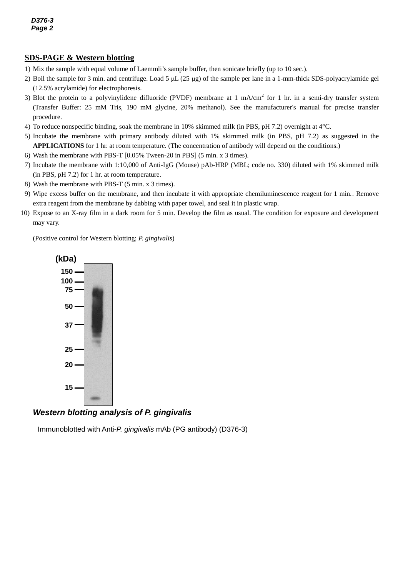# **SDS-PAGE & Western blotting**

- 1) Mix the sample with equal volume of Laemmli's sample buffer, then sonicate briefly (up to 10 sec.).
- 2) Boil the sample for 3 min. and centrifuge. Load 5  $\mu$ L (25  $\mu$ g) of the sample per lane in a 1-mm-thick SDS-polyacrylamide gel (12.5% acrylamide) for electrophoresis.
- 3) Blot the protein to a polyvinylidene difluoride (PVDF) membrane at 1 mA/cm<sup>2</sup> for 1 hr. in a semi-dry transfer system (Transfer Buffer: 25 mM Tris, 190 mM glycine, 20% methanol). See the manufacturer's manual for precise transfer procedure.
- 4) To reduce nonspecific binding, soak the membrane in 10% skimmed milk (in PBS, pH 7.2) overnight at 4°C.
- 5) Incubate the membrane with primary antibody diluted with 1% skimmed milk (in PBS, pH 7.2) as suggested in the **APPLICATIONS** for 1 hr. at room temperature. (The concentration of antibody will depend on the conditions.)
- 6) Wash the membrane with PBS-T [0.05% Tween-20 in PBS] (5 min. x 3 times).
- 7) Incubate the membrane with 1:10,000 of Anti-IgG (Mouse) pAb-HRP (MBL; code no. 330) diluted with 1% skimmed milk (in PBS, pH 7.2) for 1 hr. at room temperature.
- 8) Wash the membrane with PBS-T (5 min. x 3 times).
- 9) Wipe excess buffer on the membrane, and then incubate it with appropriate chemiluminescence reagent for 1 min.. Remove extra reagent from the membrane by dabbing with paper towel, and seal it in plastic wrap.
- 10) Expose to an X-ray film in a dark room for 5 min. Develop the film as usual. The condition for exposure and development may vary.

(Positive control for Western blotting; *P. gingivalis*)



## *Western blotting analysis of P. gingivalis*

Immunoblotted with Anti-*P. gingivalis* mAb (PG antibody) (D376-3)